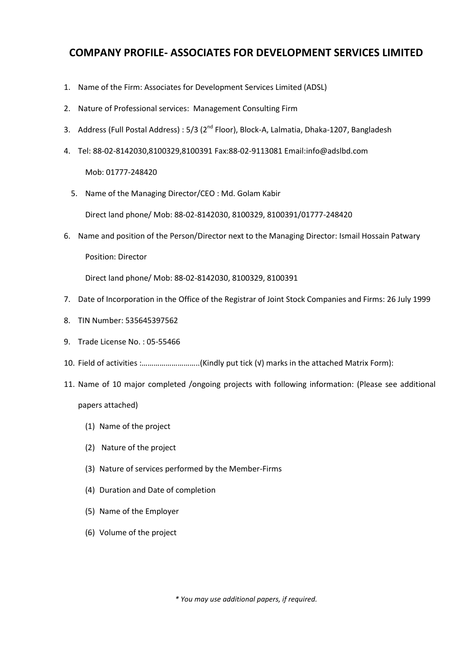## **COMPANY PROFILE- ASSOCIATES FOR DEVELOPMENT SERVICES LIMITED**

- 1. Name of the Firm: Associates for Development Services Limited (ADSL)
- 2. Nature of Professional services: Management Consulting Firm
- 3. Address (Full Postal Address): 5/3 (2<sup>nd</sup> Floor), Block-A, Lalmatia, Dhaka-1207, Bangladesh
- 4. Tel: 88-02-8142030,8100329,8100391 Fax:88-02-9113081 Email:info@adslbd.com

Mob: 01777-248420

5. Name of the Managing Director/CEO : Md. Golam Kabir

Direct land phone/ Mob: 88-02-8142030, 8100329, 8100391/01777-248420

6. Name and position of the Person/Director next to the Managing Director: Ismail Hossain Patwary Position: Director

Direct land phone/ Mob: 88-02-8142030, 8100329, 8100391

- 7. Date of Incorporation in the Office of the Registrar of Joint Stock Companies and Firms: 26 July 1999
- 8. TIN Number: 535645397562
- 9. Trade License No. : 05-55466
- 10. Field of activities :………………………..(Kindly put tick (√) marks in the attached Matrix Form):
- 11. Name of 10 major completed /ongoing projects with following information: (Please see additional

## papers attached)

- (1) Name of the project
- (2) Nature of the project
- (3) Nature of services performed by the Member-Firms
- (4) Duration and Date of completion
- (5) Name of the Employer
- (6) Volume of the project

*\* You may use additional papers, if required.*